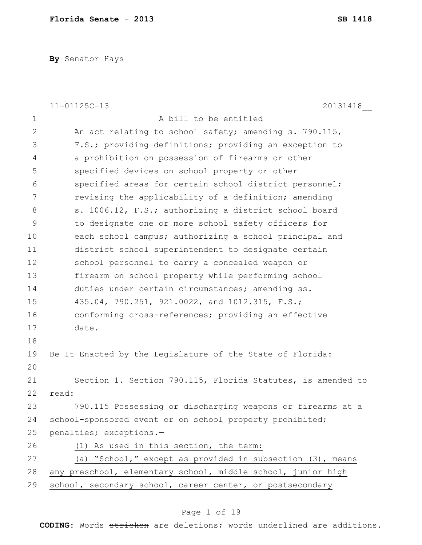**By** Senator Hays

|    | $11 - 01125C - 13$<br>20131418                               |
|----|--------------------------------------------------------------|
| 1  | A bill to be entitled                                        |
| 2  | An act relating to school safety; amending s. 790.115,       |
| 3  | F.S.; providing definitions; providing an exception to       |
| 4  | a prohibition on possession of firearms or other             |
| 5  | specified devices on school property or other                |
| 6  | specified areas for certain school district personnel;       |
| 7  | revising the applicability of a definition; amending         |
| 8  | s. 1006.12, F.S.; authorizing a district school board        |
| 9  | to designate one or more school safety officers for          |
| 10 | each school campus; authorizing a school principal and       |
| 11 | district school superintendent to designate certain          |
| 12 | school personnel to carry a concealed weapon or              |
| 13 | firearm on school property while performing school           |
| 14 | duties under certain circumstances; amending ss.             |
| 15 | 435.04, 790.251, 921.0022, and 1012.315, F.S.;               |
| 16 | conforming cross-references; providing an effective          |
| 17 | date.                                                        |
| 18 |                                                              |
| 19 | Be It Enacted by the Legislature of the State of Florida:    |
| 20 |                                                              |
| 21 | Section 1. Section 790.115, Florida Statutes, is amended to  |
| 22 | read:                                                        |
| 23 | 790.115 Possessing or discharging weapons or firearms at a   |
| 24 | school-sponsored event or on school property prohibited;     |
| 25 | penalties; exceptions.-                                      |
| 26 | (1) As used in this section, the term:                       |
| 27 | (a) "School," except as provided in subsection (3), means    |
| 28 | any preschool, elementary school, middle school, junior high |
| 29 | school, secondary school, career center, or postsecondary    |
|    |                                                              |

## Page 1 of 19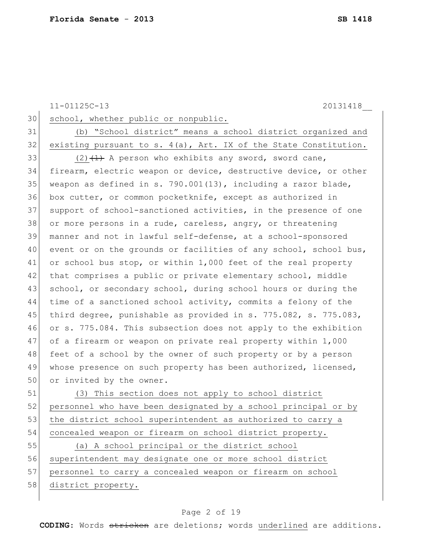11-01125C-13 20131418\_\_ 30 school, whether public or nonpublic. 31 (b) "School district" means a school district organized and  $32$  existing pursuant to s. 4(a), Art. IX of the State Constitution. 33 (2)  $(2)$   $(1)$  A person who exhibits any sword, sword cane, 34 firearm, electric weapon or device, destructive device, or other 35 weapon as defined in s. 790.001(13), including a razor blade, 36 box cutter, or common pocketknife, except as authorized in 37 support of school-sanctioned activities, in the presence of one 38 or more persons in a rude, careless, angry, or threatening 39 manner and not in lawful self-defense, at a school-sponsored 40 event or on the grounds or facilities of any school, school bus, 41 or school bus stop, or within 1,000 feet of the real property 42 that comprises a public or private elementary school, middle 43 school, or secondary school, during school hours or during the 44 time of a sanctioned school activity, commits a felony of the 45 third degree, punishable as provided in s.  $775.082$ , s.  $775.083$ , 46 or s. 775.084. This subsection does not apply to the exhibition 47 of a firearm or weapon on private real property within 1,000 48 feet of a school by the owner of such property or by a person 49 whose presence on such property has been authorized, licensed, 50 or invited by the owner.

51 (3) This section does not apply to school district 52 personnel who have been designated by a school principal or by 53 the district school superintendent as authorized to carry a 54 concealed weapon or firearm on school district property.

55 (a) A school principal or the district school 56 superintendent may designate one or more school district 57 personnel to carry a concealed weapon or firearm on school 58 district property.

#### Page 2 of 19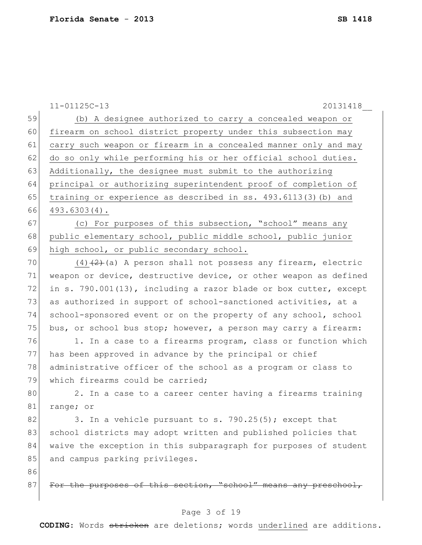|    | $11 - 01125C - 13$<br>20131418                                   |
|----|------------------------------------------------------------------|
| 59 | (b) A designee authorized to carry a concealed weapon or         |
| 60 | firearm on school district property under this subsection may    |
| 61 | carry such weapon or firearm in a concealed manner only and may  |
| 62 | do so only while performing his or her official school duties.   |
| 63 | Additionally, the designee must submit to the authorizing        |
| 64 | principal or authorizing superintendent proof of completion of   |
| 65 | training or experience as described in ss. 493.6113(3) (b) and   |
| 66 | $493.6303(4)$ .                                                  |
| 67 | (c) For purposes of this subsection, "school" means any          |
| 68 | public elementary school, public middle school, public junior    |
| 69 | high school, or public secondary school.                         |
| 70 | $(4)$ $(2)$ (a) A person shall not possess any firearm, electric |
| 71 | weapon or device, destructive device, or other weapon as defined |
| 72 | in s. 790.001(13), including a razor blade or box cutter, except |
| 73 | as authorized in support of school-sanctioned activities, at a   |
| 74 | school-sponsored event or on the property of any school, school  |
| 75 | bus, or school bus stop; however, a person may carry a firearm:  |
| 76 | 1. In a case to a firearms program, class or function which      |
| 77 | has been approved in advance by the principal or chief           |
| 78 | administrative officer of the school as a program or class to    |
| 79 | which firearms could be carried;                                 |
| 80 | 2. In a case to a career center having a firearms training       |
| 81 | range; or                                                        |
| 82 | 3. In a vehicle pursuant to s. 790.25(5); except that            |
| 83 | school districts may adopt written and published policies that   |
| 84 | waive the exception in this subparagraph for purposes of student |
| 85 | and campus parking privileges.                                   |
| 86 |                                                                  |
| 87 | For the purposes of this section, "school" means any preschool,  |

## Page 3 of 19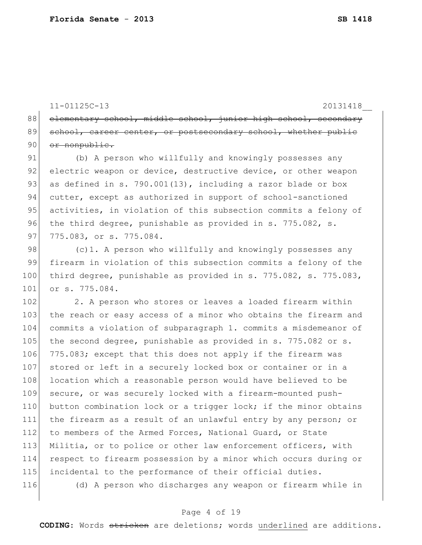11-01125C-13 20131418\_\_ 88 elementary school, middle school, junior high school, secondary 89 school, career center, or postsecondary school, whether public 90 or nonpublic. 91 (b) A person who willfully and knowingly possesses any 92 electric weapon or device, destructive device, or other weapon 93 as defined in s. 790.001(13), including a razor blade or box 94 cutter, except as authorized in support of school-sanctioned 95 activities, in violation of this subsection commits a felony of 96 the third degree, punishable as provided in s. 775.082, s. 97 775.083, or s. 775.084. 98  $\vert$  (c)1. A person who willfully and knowingly possesses any 99 firearm in violation of this subsection commits a felony of the 100 third degree, punishable as provided in s. 775.082, s. 775.083, 101 or s. 775.084. 102 2. A person who stores or leaves a loaded firearm within 103 the reach or easy access of a minor who obtains the firearm and 104 commits a violation of subparagraph 1. commits a misdemeanor of 105 the second degree, punishable as provided in s. 775.082 or s. 106 775.083; except that this does not apply if the firearm was 107 stored or left in a securely locked box or container or in a 108 location which a reasonable person would have believed to be 109 secure, or was securely locked with a firearm-mounted push-110 button combination lock or a trigger lock; if the minor obtains 111 the firearm as a result of an unlawful entry by any person; or 112 to members of the Armed Forces, National Guard, or State 113 Militia, or to police or other law enforcement officers, with

114 respect to firearm possession by a minor which occurs during or 115 incidental to the performance of their official duties.

116 (d) A person who discharges any weapon or firearm while in

#### Page 4 of 19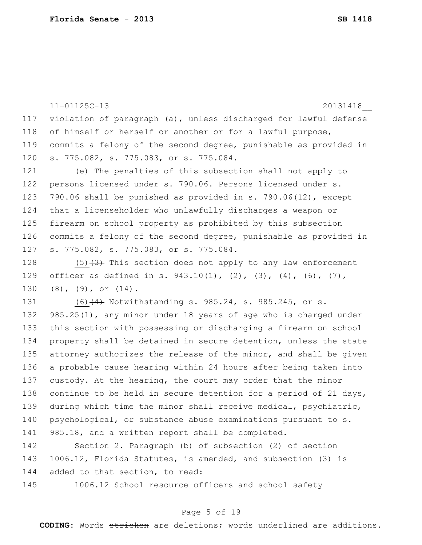|     | $11 - 01125C - 13$<br>20131418                                   |
|-----|------------------------------------------------------------------|
| 117 | violation of paragraph (a), unless discharged for lawful defense |
| 118 | of himself or herself or another or for a lawful purpose,        |
| 119 | commits a felony of the second degree, punishable as provided in |
| 120 | s. 775.082, s. 775.083, or s. 775.084.                           |
| 121 | (e) The penalties of this subsection shall not apply to          |
| 122 | persons licensed under s. 790.06. Persons licensed under s.      |
| 123 | 790.06 shall be punished as provided in s. 790.06(12), except    |
| 124 | that a licenseholder who unlawfully discharges a weapon or       |
| 125 | firearm on school property as prohibited by this subsection      |
| 126 | commits a felony of the second degree, punishable as provided in |
| 127 | s. 775.082, s. 775.083, or s. 775.084.                           |
| 128 | $(5)$ $(3)$ This section does not apply to any law enforcement   |
| 129 | officer as defined in s. 943.10(1), (2), (3), (4), (6), (7),     |
| 130 | $(8)$ , $(9)$ , or $(14)$ .                                      |
| 131 | $(6)$ $(4)$ Notwithstanding s. 985.24, s. 985.245, or s.         |
| 132 | 985.25(1), any minor under 18 years of age who is charged under  |
| 133 | this section with possessing or discharging a firearm on school  |
| 134 | property shall be detained in secure detention, unless the state |
| 135 | attorney authorizes the release of the minor, and shall be given |
| 136 | a probable cause hearing within 24 hours after being taken into  |
| 137 | custody. At the hearing, the court may order that the minor      |
| 138 | continue to be held in secure detention for a period of 21 days, |
| 139 | during which time the minor shall receive medical, psychiatric,  |
| 140 | psychological, or substance abuse examinations pursuant to s.    |
| 141 | 985.18, and a written report shall be completed.                 |
| 142 | Section 2. Paragraph (b) of subsection (2) of section            |
| 143 | 1006.12, Florida Statutes, is amended, and subsection (3) is     |
| 144 | added to that section, to read:                                  |

145 1006.12 School resource officers and school safety

## Page 5 of 19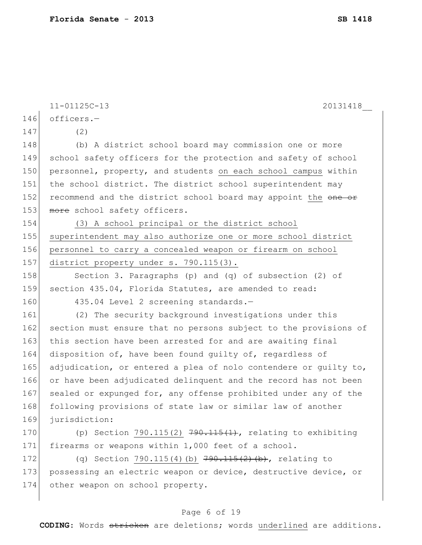|     | $11 - 01125C - 13$<br>20131418                                   |
|-----|------------------------------------------------------------------|
| 146 | officers.-                                                       |
| 147 | (2)                                                              |
| 148 | (b) A district school board may commission one or more           |
| 149 | school safety officers for the protection and safety of school   |
| 150 | personnel, property, and students on each school campus within   |
| 151 | the school district. The district school superintendent may      |
| 152 | recommend and the district school board may appoint the one or   |
| 153 | more school safety officers.                                     |
| 154 | (3) A school principal or the district school                    |
| 155 | superintendent may also authorize one or more school district    |
| 156 | personnel to carry a concealed weapon or firearm on school       |
| 157 | district property under s. 790.115(3).                           |
| 158 | Section 3. Paragraphs (p) and (q) of subsection (2) of           |
| 159 | section 435.04, Florida Statutes, are amended to read:           |
| 160 | 435.04 Level 2 screening standards.-                             |
| 161 | (2) The security background investigations under this            |
| 162 | section must ensure that no persons subject to the provisions of |
| 163 | this section have been arrested for and are awaiting final       |
| 164 | disposition of, have been found quilty of, regardless of         |
| 165 | adjudication, or entered a plea of nolo contendere or quilty to, |
| 166 | or have been adjudicated delinquent and the record has not been  |
| 167 | sealed or expunged for, any offense prohibited under any of the  |
| 168 | following provisions of state law or similar law of another      |
| 169 | jurisdiction:                                                    |
| 170 | (p) Section 790.115(2) $790.115(1)$ , relating to exhibiting     |
| 171 | firearms or weapons within 1,000 feet of a school.               |
| 172 | (q) Section 790.115(4)(b) 790.115(2)(b), relating to             |
| 173 | possessing an electric weapon or device, destructive device, or  |
| 174 | other weapon on school property.                                 |
|     |                                                                  |

## Page 6 of 19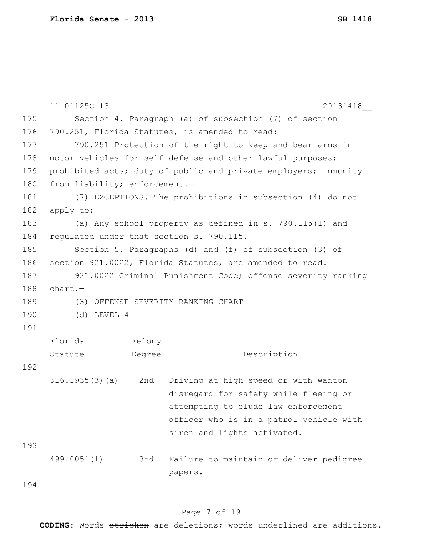|     | $11 - 01125C - 13$                             |        | 20131418                                                        |  |  |
|-----|------------------------------------------------|--------|-----------------------------------------------------------------|--|--|
| 175 |                                                |        | Section 4. Paragraph (a) of subsection (7) of section           |  |  |
| 176 | 790.251, Florida Statutes, is amended to read: |        |                                                                 |  |  |
| 177 |                                                |        | 790.251 Protection of the right to keep and bear arms in        |  |  |
| 178 |                                                |        | motor vehicles for self-defense and other lawful purposes;      |  |  |
| 179 |                                                |        | prohibited acts; duty of public and private employers; immunity |  |  |
| 180 | from liability; enforcement.-                  |        |                                                                 |  |  |
| 181 |                                                |        | (7) EXCEPTIONS. The prohibitions in subsection (4) do not       |  |  |
| 182 | apply to:                                      |        |                                                                 |  |  |
| 183 |                                                |        | (a) Any school property as defined in s. 790.115(1) and         |  |  |
| 184 |                                                |        | regulated under that section <del>s. 790.115</del> .            |  |  |
| 185 |                                                |        | Section 5. Paragraphs (d) and (f) of subsection (3) of          |  |  |
| 186 |                                                |        | section 921.0022, Florida Statutes, are amended to read:        |  |  |
| 187 |                                                |        | 921.0022 Criminal Punishment Code; offense severity ranking     |  |  |
| 188 | $chart. -$                                     |        |                                                                 |  |  |
| 189 |                                                |        | (3) OFFENSE SEVERITY RANKING CHART                              |  |  |
| 190 | $(d)$ LEVEL 4                                  |        |                                                                 |  |  |
| 191 |                                                |        |                                                                 |  |  |
|     | Florida                                        | Felony |                                                                 |  |  |
|     | Statute                                        | Degree | Description                                                     |  |  |
| 192 |                                                |        |                                                                 |  |  |
|     | $316.1935(3)(a)$ 2nd                           |        | Driving at high speed or with wanton                            |  |  |
|     |                                                |        | disregard for safety while fleeing or                           |  |  |
|     |                                                |        | attempting to elude law enforcement                             |  |  |
|     |                                                |        | officer who is in a patrol vehicle with                         |  |  |
|     |                                                |        | siren and lights activated.                                     |  |  |
| 193 |                                                |        |                                                                 |  |  |
|     | 499.0051(1)                                    | 3rd    | Failure to maintain or deliver pedigree                         |  |  |
|     |                                                |        | papers.                                                         |  |  |
| 194 |                                                |        |                                                                 |  |  |
|     |                                                |        |                                                                 |  |  |

## Page 7 of 19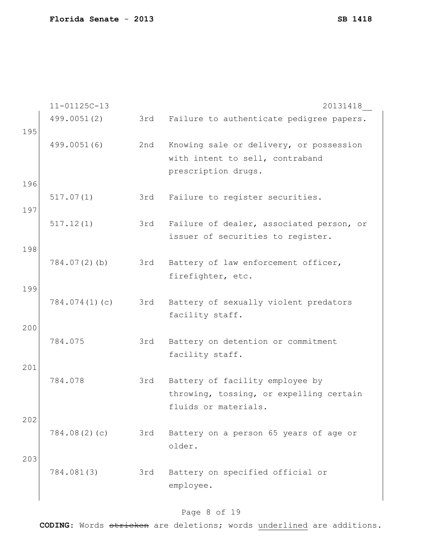11-01125C-13 20131418\_\_ 499.0051(2) 3rd Failure to authenticate pedigree papers. 195 499.0051(6) 2nd Knowing sale or delivery, or possession with intent to sell, contraband prescription drugs. 196 517.07(1) 3rd Failure to register securities. 197 517.12(1) 3rd Failure of dealer, associated person, or issuer of securities to register. 198 784.07(2)(b) 3rd Battery of law enforcement officer, firefighter, etc. 199 784.074(1)(c) 3rd Battery of sexually violent predators facility staff. 200 784.075 3rd Battery on detention or commitment facility staff. 201 784.078 3rd Battery of facility employee by throwing, tossing, or expelling certain fluids or materials. 202 784.08(2)(c) 3rd Battery on a person 65 years of age or older. 203 784.081(3) 3rd Battery on specified official or employee.

### Page 8 of 19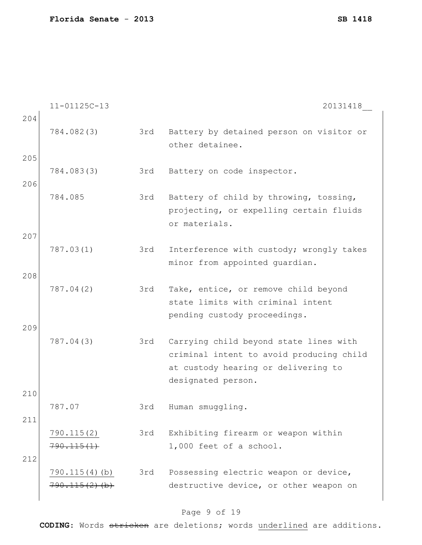11-01125C-13 20131418\_\_ 204 784.082(3) 3rd Battery by detained person on visitor or other detainee. 205 784.083(3) 3rd Battery on code inspector. 206 784.085 3rd Battery of child by throwing, tossing, projecting, or expelling certain fluids or materials. 207 787.03(1) 3rd Interference with custody; wrongly takes minor from appointed guardian. 208 787.04(2) 3rd Take, entice, or remove child beyond state limits with criminal intent pending custody proceedings. 209 787.04(3) 3rd Carrying child beyond state lines with criminal intent to avoid producing child at custody hearing or delivering to designated person. 210 787.07 3rd Human smuggling. 211 790.115(2) 790.115(1) 3rd Exhibiting firearm or weapon within 1,000 feet of a school. 212 790.115(4)(b)  $790.115(2)$  (b) 3rd Possessing electric weapon or device, destructive device, or other weapon on

### Page 9 of 19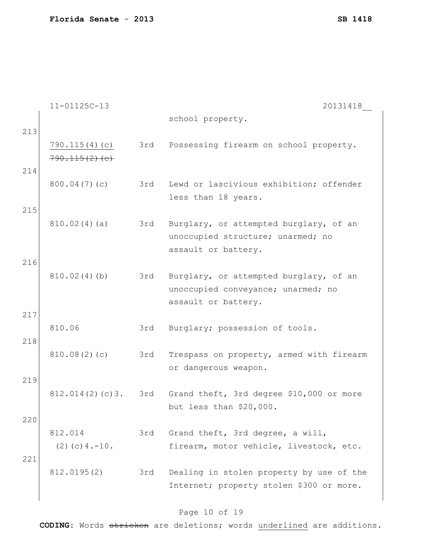|     | $11 - 01125C - 13$  |     | 20131418                                 |
|-----|---------------------|-----|------------------------------------------|
|     |                     |     | school property.                         |
| 213 |                     |     |                                          |
|     | 790.115(4)(c)       | 3rd | Possessing firearm on school property.   |
|     | $790.115(2)$ (e)    |     |                                          |
| 214 |                     |     |                                          |
|     | 800.04(7)(c)        | 3rd | Lewd or lascivious exhibition; offender  |
|     |                     |     | less than 18 years.                      |
| 215 |                     |     |                                          |
|     | 810.02(4)(a)        | 3rd | Burglary, or attempted burglary, of an   |
|     |                     |     | unoccupied structure; unarmed; no        |
|     |                     |     | assault or battery.                      |
| 216 |                     |     |                                          |
|     | 810.02(4)(b)        | 3rd | Burglary, or attempted burglary, of an   |
|     |                     |     | unoccupied conveyance; unarmed; no       |
|     |                     |     | assault or battery.                      |
| 217 |                     |     |                                          |
|     | 810.06              | 3rd | Burglary; possession of tools.           |
| 218 |                     |     |                                          |
|     | 810.08(2)(c)        | 3rd | Trespass on property, armed with firearm |
|     |                     |     | or dangerous weapon.                     |
| 219 |                     |     |                                          |
|     | 812.014(2)(c)3.     | 3rd | Grand theft, 3rd degree \$10,000 or more |
|     |                     |     | but less than \$20,000.                  |
| 220 |                     |     |                                          |
|     | 812.014             | 3rd | Grand theft, 3rd degree, a will,         |
|     | $(2)$ (c) $4.-10$ . |     | firearm, motor vehicle, livestock, etc.  |
| 221 |                     |     |                                          |
|     | 812.0195(2)         | 3rd | Dealing in stolen property by use of the |
|     |                     |     | Internet; property stolen \$300 or more. |
|     |                     |     |                                          |

## Page 10 of 19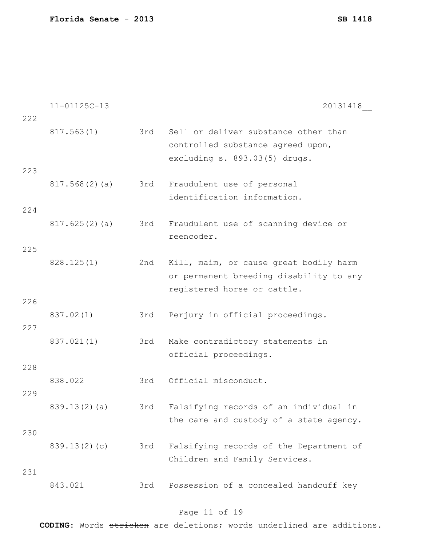11-01125C-13 20131418\_\_ 222 817.563(1) 3rd Sell or deliver substance other than controlled substance agreed upon, excluding s. 893.03(5) drugs. 223 817.568(2)(a) 3rd Fraudulent use of personal identification information. 224 817.625(2)(a) 3rd Fraudulent use of scanning device or reencoder. 225 828.125(1) 2nd Kill, maim, or cause great bodily harm or permanent breeding disability to any registered horse or cattle. 226 837.02(1) 3rd Perjury in official proceedings. 227 837.021(1) 3rd Make contradictory statements in official proceedings. 228 838.022 3rd Official misconduct. 229 839.13(2)(a) 3rd Falsifying records of an individual in the care and custody of a state agency. 230 839.13(2)(c) 3rd Falsifying records of the Department of Children and Family Services. 231 843.021 3rd Possession of a concealed handcuff key

#### Page 11 of 19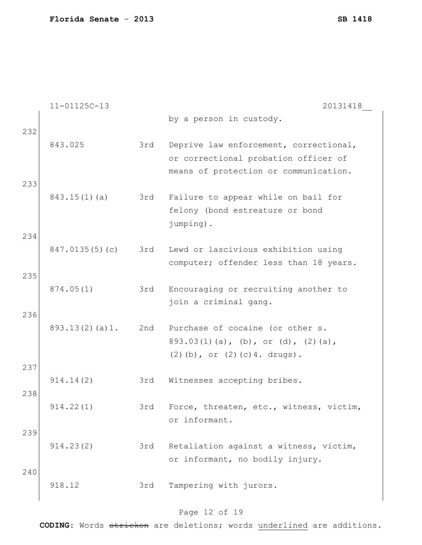|     | $11 - 01125C - 13$ |     | 20131418                                |
|-----|--------------------|-----|-----------------------------------------|
|     |                    |     | by a person in custody.                 |
| 232 |                    |     |                                         |
|     | 843.025            | 3rd | Deprive law enforcement, correctional,  |
|     |                    |     | or correctional probation officer of    |
| 233 |                    |     | means of protection or communication.   |
|     | $843.15(1)$ (a)    | 3rd | Failure to appear while on bail for     |
|     |                    |     | felony (bond estreature or bond         |
|     |                    |     | jumping).                               |
| 234 |                    |     |                                         |
|     | 847.0135(5)(c)     | 3rd | Lewd or lascivious exhibition using     |
|     |                    |     | computer; offender less than 18 years.  |
| 235 |                    |     |                                         |
|     | 874.05(1)          | 3rd | Encouraging or recruiting another to    |
| 236 |                    |     | join a criminal gang.                   |
|     | 893.13(2)(a)1.     | 2nd | Purchase of cocaine (or other s.        |
|     |                    |     | $893.03(1)(a)$ , (b), or (d), (2)(a),   |
|     |                    |     | $(2)$ (b), or $(2)$ (c) 4. drugs).      |
| 237 |                    |     |                                         |
|     | 914.14(2)          | 3rd | Witnesses accepting bribes.             |
| 238 |                    |     |                                         |
|     | 914.22(1)          | 3rd | Force, threaten, etc., witness, victim, |
| 239 |                    |     | or informant.                           |
|     | 914.23(2)          | 3rd | Retaliation against a witness, victim,  |
|     |                    |     | or informant, no bodily injury.         |
| 240 |                    |     |                                         |
|     | 918.12             | 3rd | Tampering with jurors.                  |
|     |                    |     |                                         |

## Page 12 of 19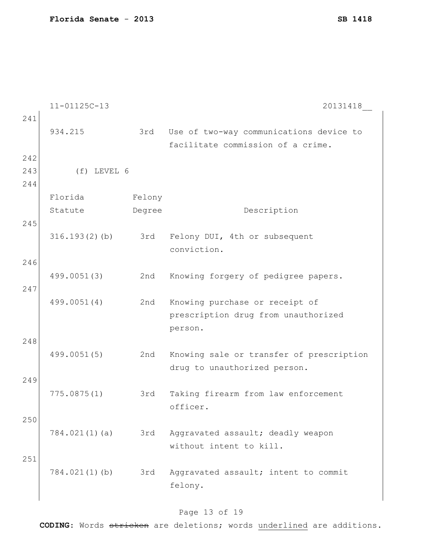```
11-01125C-13 20131418__
241
    934.215 3rd Use of two-way communications device to 
                         facilitate commission of a crime.
242
243 (f) LEVEL 6
244
    Florida
    Statute
                   Felony
                   Degree Description
245
    316.193(2)(b) 3rd Felony DUI, 4th or subsequent 
                          conviction.
246
    499.0051(3) 2nd Knowing forgery of pedigree papers.
247
    499.0051(4) 2nd Knowing purchase or receipt of 
                         prescription drug from unauthorized 
                         person.
248
    499.0051(5) 2nd Knowing sale or transfer of prescription 
                          drug to unauthorized person.
249
    775.0875(1) 3rd Taking firearm from law enforcement 
                          officer.
250
    784.021(1)(a) 3rd Aggravated assault; deadly weapon 
                          without intent to kill.
251
    784.021(1)(b) 3rd Aggravated assault; intent to commit 
                          felony.
```
### Page 13 of 19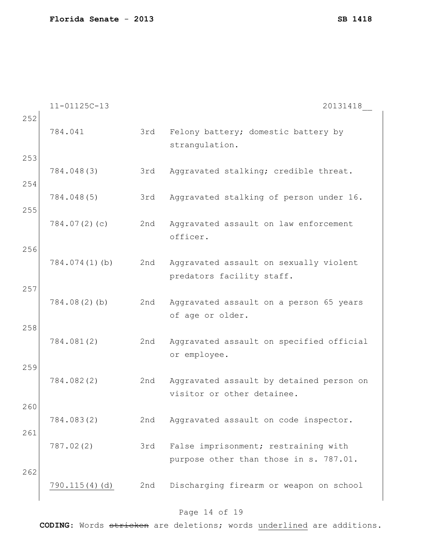11-01125C-13 20131418\_\_ 252 784.041 3rd Felony battery; domestic battery by strangulation. 253 784.048(3) 3rd Aggravated stalking; credible threat. 254 784.048(5) 3rd Aggravated stalking of person under 16. 255 784.07(2)(c) 2nd Aggravated assault on law enforcement officer. 256 784.074(1)(b) 2nd Aggravated assault on sexually violent predators facility staff. 257 784.08(2)(b) 2nd Aggravated assault on a person 65 years of age or older. 258 784.081(2) 2nd Aggravated assault on specified official or employee. 259 784.082(2) 2nd Aggravated assault by detained person on visitor or other detainee. 260 784.083(2) 2nd Aggravated assault on code inspector. 261 787.02(2) 3rd False imprisonment; restraining with purpose other than those in s. 787.01. 262 790.115(4)(d) 2nd Discharging firearm or weapon on school

### Page 14 of 19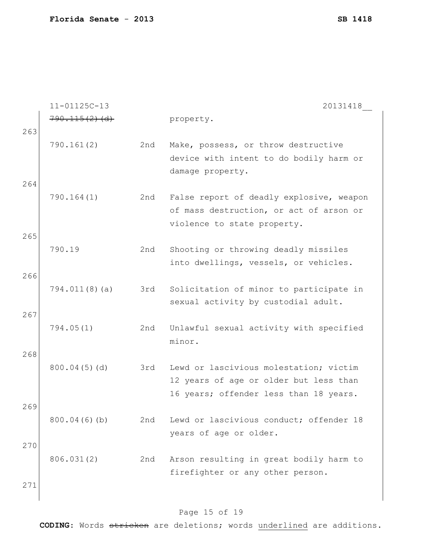|     | $11 - 01125C - 13$ |     | 20131418                                 |
|-----|--------------------|-----|------------------------------------------|
|     | $790.115(2)$ (d)   |     | property.                                |
| 263 |                    |     |                                          |
|     | 790.161(2)         | 2nd | Make, possess, or throw destructive      |
|     |                    |     | device with intent to do bodily harm or  |
|     |                    |     | damage property.                         |
| 264 |                    |     |                                          |
|     | 790.164(1)         | 2nd | False report of deadly explosive, weapon |
|     |                    |     | of mass destruction, or act of arson or  |
|     |                    |     | violence to state property.              |
| 265 |                    |     |                                          |
|     | 790.19             | 2nd | Shooting or throwing deadly missiles     |
|     |                    |     | into dwellings, vessels, or vehicles.    |
| 266 |                    |     |                                          |
|     | 794.011(8)(a)      | 3rd | Solicitation of minor to participate in  |
|     |                    |     | sexual activity by custodial adult.      |
| 267 |                    |     |                                          |
|     | 794.05(1)          | 2nd | Unlawful sexual activity with specified  |
|     |                    |     | minor.                                   |
| 268 |                    |     |                                          |
|     | 800.04(5)(d)       | 3rd | Lewd or lascivious molestation; victim   |
|     |                    |     | 12 years of age or older but less than   |
|     |                    |     | 16 years; offender less than 18 years.   |
| 269 |                    |     |                                          |
|     | 800.04(6)(b)       | 2nd | Lewd or lascivious conduct; offender 18  |
|     |                    |     | years of age or older.                   |
| 270 |                    |     |                                          |
|     | 806.031(2)         | 2nd | Arson resulting in great bodily harm to  |
|     |                    |     | firefighter or any other person.         |
| 271 |                    |     |                                          |
|     |                    |     |                                          |

## Page 15 of 19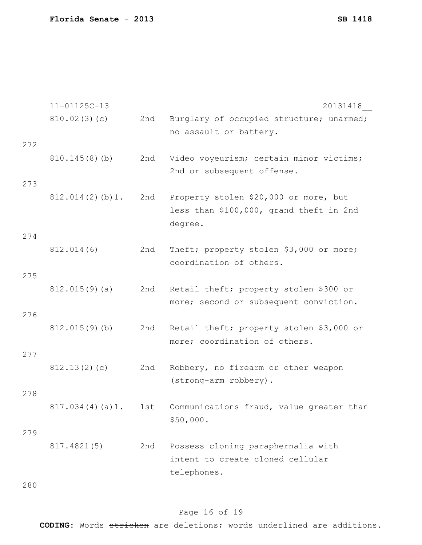|     | $11 - 01125C - 13$ |     | 20131418                                                                                    |
|-----|--------------------|-----|---------------------------------------------------------------------------------------------|
|     | 810.02(3)(c)       | 2nd | Burglary of occupied structure; unarmed;<br>no assault or battery.                          |
| 272 |                    |     |                                                                                             |
|     | 810.145(8)(b)      | 2nd | Video voyeurism; certain minor victims;<br>2nd or subsequent offense.                       |
| 273 |                    |     |                                                                                             |
|     | 812.014(2)(b)1.    | 2nd | Property stolen \$20,000 or more, but<br>less than \$100,000, grand theft in 2nd<br>degree. |
| 274 |                    |     |                                                                                             |
|     | 812.014(6)         | 2nd | Theft; property stolen \$3,000 or more;<br>coordination of others.                          |
| 275 |                    |     |                                                                                             |
|     | 812.015(9)(a)      | 2nd | Retail theft; property stolen \$300 or<br>more; second or subsequent conviction.            |
| 276 |                    |     |                                                                                             |
|     | 812.015(9)(b)      | 2nd | Retail theft; property stolen \$3,000 or<br>more; coordination of others.                   |
| 277 |                    |     |                                                                                             |
|     | 812.13(2)(c)       | 2nd | Robbery, no firearm or other weapon<br>(strong-arm robbery).                                |
| 278 |                    |     |                                                                                             |
|     | 817.034(4)(a)1.    | 1st | Communications fraud, value greater than<br>\$50,000.                                       |
| 279 |                    |     |                                                                                             |
|     | 817.4821(5)        | 2nd | Possess cloning paraphernalia with<br>intent to create cloned cellular<br>telephones.       |
| 280 |                    |     |                                                                                             |

## Page 16 of 19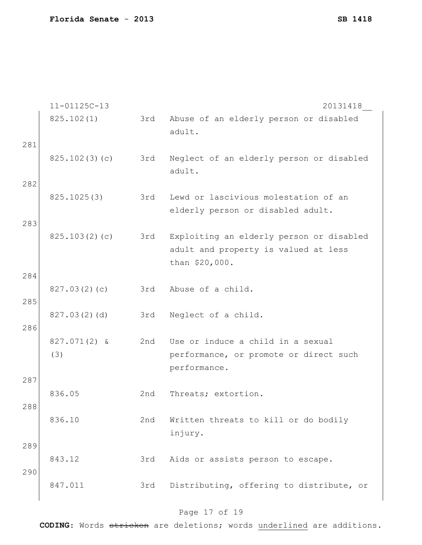|     | $11 - 01125C - 13$ |     | 20131418                                                                                           |
|-----|--------------------|-----|----------------------------------------------------------------------------------------------------|
|     | 825.102(1)         | 3rd | Abuse of an elderly person or disabled<br>adult.                                                   |
| 281 |                    |     |                                                                                                    |
|     | 825.102(3)(c)      | 3rd | Neglect of an elderly person or disabled<br>adult.                                                 |
| 282 |                    |     |                                                                                                    |
|     | 825.1025(3)        | 3rd | Lewd or lascivious molestation of an<br>elderly person or disabled adult.                          |
| 283 |                    |     |                                                                                                    |
|     | 825.103(2)(c)      | 3rd | Exploiting an elderly person or disabled<br>adult and property is valued at less<br>than \$20,000. |
| 284 |                    |     |                                                                                                    |
| 285 | 827.03(2)(c)       | 3rd | Abuse of a child.                                                                                  |
|     | 827.03(2)(d)       | 3rd | Neglect of a child.                                                                                |
| 286 |                    |     |                                                                                                    |
|     | 827.071(2) &       | 2nd | Use or induce a child in a sexual                                                                  |
|     | (3)                |     | performance, or promote or direct such<br>performance.                                             |
| 287 |                    |     |                                                                                                    |
|     | 836.05             | 2nd | Threats; extortion.                                                                                |
| 288 |                    |     |                                                                                                    |
|     | 836.10             | 2nd | Written threats to kill or do bodily<br>injury.                                                    |
| 289 |                    |     |                                                                                                    |
|     | 843.12             | 3rd | Aids or assists person to escape.                                                                  |
| 290 | 847.011            | 3rd | Distributing, offering to distribute, or                                                           |
|     |                    |     |                                                                                                    |

## Page 17 of 19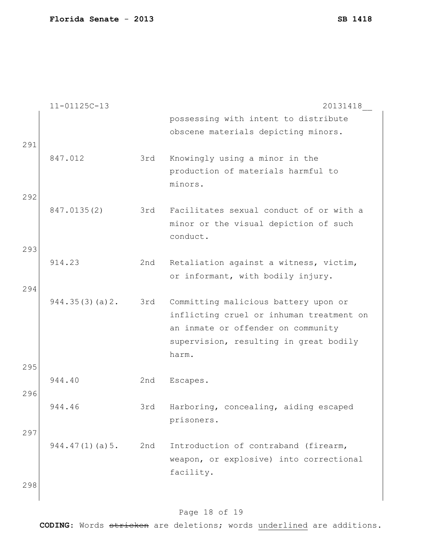|     | $11 - 01125C - 13$ |     | 20131418                                                                         |
|-----|--------------------|-----|----------------------------------------------------------------------------------|
|     |                    |     | possessing with intent to distribute                                             |
|     |                    |     | obscene materials depicting minors.                                              |
| 291 |                    |     |                                                                                  |
|     | 847.012            | 3rd | Knowingly using a minor in the                                                   |
|     |                    |     | production of materials harmful to                                               |
|     |                    |     | minors.                                                                          |
| 292 |                    |     |                                                                                  |
|     | 847.0135(2)        | 3rd | Facilitates sexual conduct of or with a<br>minor or the visual depiction of such |
|     |                    |     | conduct.                                                                         |
| 293 |                    |     |                                                                                  |
|     | 914.23             | 2nd | Retaliation against a witness, victim,                                           |
|     |                    |     | or informant, with bodily injury.                                                |
| 294 |                    |     |                                                                                  |
|     | 944.35(3)(a)2.     | 3rd | Committing malicious battery upon or                                             |
|     |                    |     | inflicting cruel or inhuman treatment on                                         |
|     |                    |     | an inmate or offender on community                                               |
|     |                    |     | supervision, resulting in great bodily                                           |
|     |                    |     | harm.                                                                            |
| 295 | 944.40             | 2nd | Escapes.                                                                         |
| 296 |                    |     |                                                                                  |
|     | 944.46             | 3rd | Harboring, concealing, aiding escaped                                            |
|     |                    |     | prisoners.                                                                       |
| 297 |                    |     |                                                                                  |
|     | 944.47(1)(a)5.     | 2nd | Introduction of contraband (firearm,                                             |
|     |                    |     | weapon, or explosive) into correctional                                          |
|     |                    |     | facility.                                                                        |
| 298 |                    |     |                                                                                  |
|     |                    |     |                                                                                  |

## Page 18 of 19